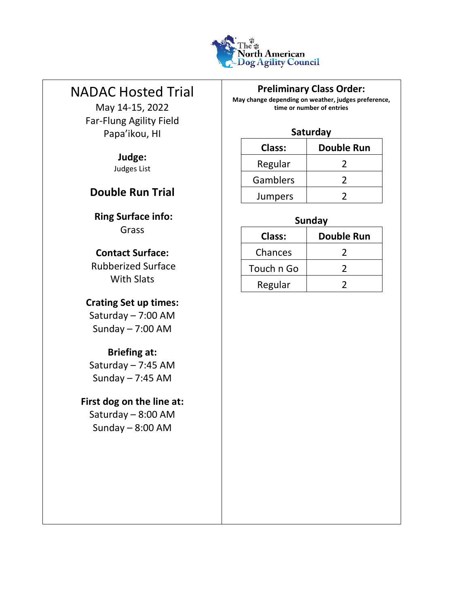

# NADAC Hosted Trial

L

May 14-15, 2022 Far-Flung Agility Field Papa'ikou, HI

> **Judge:**  Judges List

## **Double Run Trial**

**Ring Surface info:**  Grass

#### **Contact Surface:**

Rubberized Surface With Slats

## **Crating Set up times:**

Saturday – 7:00 AM Sunday – 7:00 AM

#### **Briefing at:**

Saturday – 7:45 AM Sunday – 7:45 AM

## **First dog on the line at:**

Saturday – 8:00 AM Sunday – 8:00 AM

#### **Preliminary Class Order:**

**May change depending on weather, judges preference, time or number of entries** 

#### **Saturday**

| <b>Class:</b>   | <b>Double Run</b> |
|-----------------|-------------------|
| Regular         |                   |
| <b>Gamblers</b> |                   |
| <b>Jumpers</b>  |                   |

## **Sunday**

| Class:     | <b>Double Run</b> |
|------------|-------------------|
| Chances    |                   |
| Touch n Go |                   |
| Regular    |                   |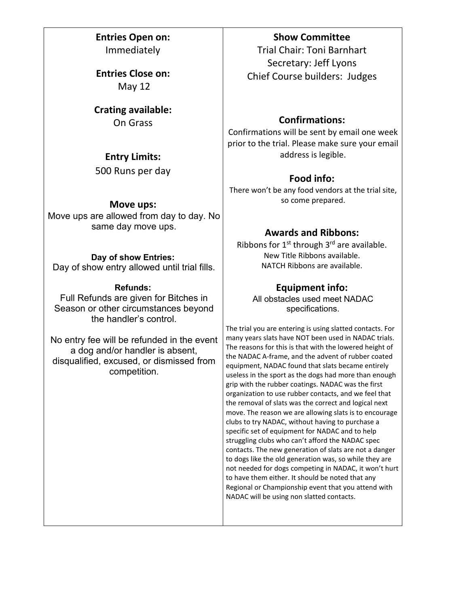**Entries Open on:**  Immediately

**Entries Close on:**  May 12

**Crating available:**  On Grass

### **Entry Limits:**

500 Runs per day

#### **Move ups:**

Move ups are allowed from day to day. No same day move ups.

#### **Day of show Entries:**

Day of show entry allowed until trial fills.

#### **Refunds:**

Full Refunds are given for Bitches in Season or other circumstances beyond the handler's control.

No entry fee will be refunded in the event a dog and/or handler is absent, disqualified, excused, or dismissed from competition.

#### **Show Committee**

Trial Chair: Toni Barnhart Secretary: Jeff Lyons Chief Course builders: Judges

### **Confirmations:**

Confirmations will be sent by email one week prior to the trial. Please make sure your email address is legible.

### **Food info:**

There won't be any food vendors at the trial site, so come prepared.

## **Awards and Ribbons:**

Ribbons for  $1<sup>st</sup>$  through  $3<sup>rd</sup>$  are available. New Title Ribbons available. NATCH Ribbons are available.

### **Equipment info:**

All obstacles used meet NADAC specifications.

The trial you are entering is using slatted contacts. For many years slats have NOT been used in NADAC trials. The reasons for this is that with the lowered height of the NADAC A-frame, and the advent of rubber coated equipment, NADAC found that slats became entirely useless in the sport as the dogs had more than enough grip with the rubber coatings. NADAC was the first organization to use rubber contacts, and we feel that the removal of slats was the correct and logical next move. The reason we are allowing slats is to encourage clubs to try NADAC, without having to purchase a specific set of equipment for NADAC and to help struggling clubs who can't afford the NADAC spec contacts. The new generation of slats are not a danger to dogs like the old generation was, so while they are not needed for dogs competing in NADAC, it won't hurt to have them either. It should be noted that any Regional or Championship event that you attend with NADAC will be using non slatted contacts.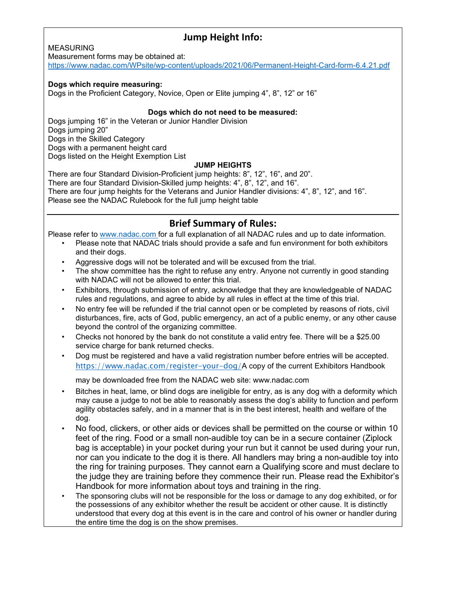#### **Jump Height Info:**

#### MEASURING

Measurement forms may be obtained at:

<https://www.nadac.com/WPsite/wp-content/uploads/2021/06/Permanent-Height-Card-form-6.4.21.pdf>

#### **Dogs which require measuring:**

Dogs in the Proficient Category, Novice, Open or Elite jumping 4", 8", 12" or 16"

#### **Dogs which do not need to be measured:**

Dogs jumping 16" in the Veteran or Junior Handler Division Dogs jumping 20" Dogs in the Skilled Category Dogs with a permanent height card Dogs listed on the Height Exemption List **JUMP HEIGHTS** 

There are four Standard Division-Proficient jump heights: 8", 12", 16", and 20". There are four Standard Division-Skilled jump heights: 4", 8", 12", and 16". There are four jump heights for the Veterans and Junior Handler divisions: 4", 8", 12", and 16". Please see the NADAC Rulebook for the full jump height table

#### **Brief Summary of Rules:**

Please refer to [www.nadac.com](http://www.nadac.com/) [f](http://www.nadac.com/)or a full explanation of all NADAC rules and up to date information.

- Please note that NADAC trials should provide a safe and fun environment for both exhibitors and their dogs.
- Aggressive dogs will not be tolerated and will be excused from the trial.
- The show committee has the right to refuse any entry. Anyone not currently in good standing with NADAC will not be allowed to enter this trial.
- Exhibitors, through submission of entry, acknowledge that they are knowledgeable of NADAC rules and regulations, and agree to abide by all rules in effect at the time of this trial.
- No entry fee will be refunded if the trial cannot open or be completed by reasons of riots, civil disturbances, fire, acts of God, public emergency, an act of a public enemy, or any other cause beyond the control of the organizing committee.
- Checks not honored by the bank do not constitute a valid entry fee. There will be a \$25.00 service charge for bank returned checks.
- Dog must be registered and have a valid registration number before entries will be accepted. <https://www.nadac.com/register-your-dog/>[A](https://www.nadac.com/register-your-dog/) copy of the current Exhibitors Handbook

may be downloaded free from the NADAC web site: www.nadac.com

- Bitches in heat, lame, or blind dogs are ineligible for entry, as is any dog with a deformity which may cause a judge to not be able to reasonably assess the dog's ability to function and perform agility obstacles safely, and in a manner that is in the best interest, health and welfare of the dog.
- No food, clickers, or other aids or devices shall be permitted on the course or within 10 feet of the ring. Food or a small non-audible toy can be in a secure container (Ziplock bag is acceptable) in your pocket during your run but it cannot be used during your run, nor can you indicate to the dog it is there. All handlers may bring a non-audible toy into the ring for training purposes. They cannot earn a Qualifying score and must declare to the judge they are training before they commence their run. Please read the Exhibitor's Handbook for more information about toys and training in the ring.
- The sponsoring clubs will not be responsible for the loss or damage to any dog exhibited, or for the possessions of any exhibitor whether the result be accident or other cause. It is distinctly understood that every dog at this event is in the care and control of his owner or handler during the entire time the dog is on the show premises.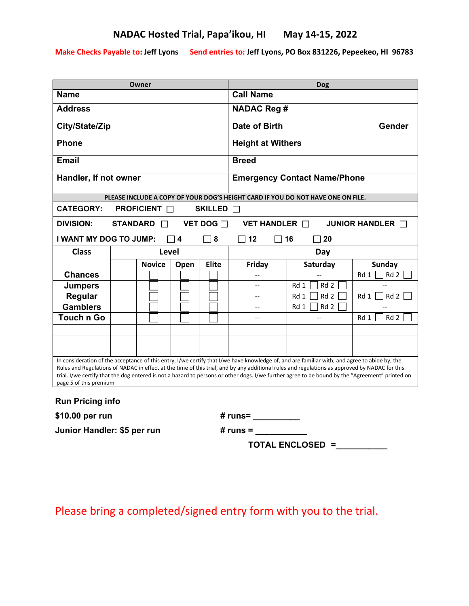**Make Checks Payable to: Jeff Lyons Send entries to: Jeff Lyons, PO Box 831226, Pepeekeo, HI 96783**

| Owner                                                                                                                                                                                                                                                                                                                                                                                                                                                                       |       |               |           |              | Dog                                 |                                                                                 |               |  |
|-----------------------------------------------------------------------------------------------------------------------------------------------------------------------------------------------------------------------------------------------------------------------------------------------------------------------------------------------------------------------------------------------------------------------------------------------------------------------------|-------|---------------|-----------|--------------|-------------------------------------|---------------------------------------------------------------------------------|---------------|--|
| <b>Name</b>                                                                                                                                                                                                                                                                                                                                                                                                                                                                 |       |               | Call Name |              |                                     |                                                                                 |               |  |
| <b>Address</b>                                                                                                                                                                                                                                                                                                                                                                                                                                                              |       |               |           |              | <b>NADAC Reg #</b>                  |                                                                                 |               |  |
| City/State/Zip                                                                                                                                                                                                                                                                                                                                                                                                                                                              |       |               |           |              | <b>Date of Birth</b><br>Gender      |                                                                                 |               |  |
| <b>Phone</b>                                                                                                                                                                                                                                                                                                                                                                                                                                                                |       |               |           |              | <b>Height at Withers</b>            |                                                                                 |               |  |
| <b>Email</b>                                                                                                                                                                                                                                                                                                                                                                                                                                                                |       |               |           |              | <b>Breed</b>                        |                                                                                 |               |  |
| Handler, If not owner                                                                                                                                                                                                                                                                                                                                                                                                                                                       |       |               |           |              | <b>Emergency Contact Name/Phone</b> |                                                                                 |               |  |
|                                                                                                                                                                                                                                                                                                                                                                                                                                                                             |       |               |           |              |                                     | PLEASE INCLUDE A COPY OF YOUR DOG'S HEIGHT CARD IF YOU DO NOT HAVE ONE ON FILE. |               |  |
| <b>CATEGORY:</b><br><b>PROFICIENT</b> □<br>SKILLED <b>D</b>                                                                                                                                                                                                                                                                                                                                                                                                                 |       |               |           |              |                                     |                                                                                 |               |  |
| <b>DIVISION:</b><br><b>STANDARD</b><br><b>VET DOG</b> □<br>VET HANDLER $\Box$<br>JUNIOR HANDLER <b>O</b>                                                                                                                                                                                                                                                                                                                                                                    |       |               |           |              |                                     |                                                                                 |               |  |
| I WANT MY DOG TO JUMP:<br>$\overline{\mathbf{4}}$<br>8<br>12<br>16<br>20                                                                                                                                                                                                                                                                                                                                                                                                    |       |               |           |              |                                     |                                                                                 |               |  |
| <b>Class</b>                                                                                                                                                                                                                                                                                                                                                                                                                                                                | Level |               |           |              | Day                                 |                                                                                 |               |  |
|                                                                                                                                                                                                                                                                                                                                                                                                                                                                             |       | <b>Novice</b> | Open      | <b>Elite</b> | Friday                              | Saturday                                                                        | <b>Sunday</b> |  |
| <b>Chances</b>                                                                                                                                                                                                                                                                                                                                                                                                                                                              |       |               |           |              |                                     |                                                                                 | Rd 2<br>Rd 1  |  |
| <b>Jumpers</b>                                                                                                                                                                                                                                                                                                                                                                                                                                                              |       |               |           |              | $\overline{\phantom{a}}$            | Rd <sub>2</sub><br>Rd 1                                                         |               |  |
| Regular                                                                                                                                                                                                                                                                                                                                                                                                                                                                     |       |               |           |              | $\overline{a}$                      | Rd 1<br>Rd 2                                                                    | Rd 1<br>Rd 2  |  |
| <b>Gamblers</b>                                                                                                                                                                                                                                                                                                                                                                                                                                                             |       |               |           |              | --                                  | Rd 1<br>Rd <sub>2</sub>                                                         |               |  |
| <b>Touch n Go</b>                                                                                                                                                                                                                                                                                                                                                                                                                                                           |       |               |           |              |                                     |                                                                                 | Rd 2<br>Rd 1  |  |
|                                                                                                                                                                                                                                                                                                                                                                                                                                                                             |       |               |           |              |                                     |                                                                                 |               |  |
|                                                                                                                                                                                                                                                                                                                                                                                                                                                                             |       |               |           |              |                                     |                                                                                 |               |  |
|                                                                                                                                                                                                                                                                                                                                                                                                                                                                             |       |               |           |              |                                     |                                                                                 |               |  |
| In consideration of the acceptance of this entry, I/we certify that I/we have knowledge of, and are familiar with, and agree to abide by, the<br>Rules and Regulations of NADAC in effect at the time of this trial, and by any additional rules and regulations as approved by NADAC for this<br>trial. I/we certify that the dog entered is not a hazard to persons or other dogs. I/we further agree to be bound by the "Agreement" printed on<br>page 5 of this premium |       |               |           |              |                                     |                                                                                 |               |  |
| <b>Run Pricing info</b>                                                                                                                                                                                                                                                                                                                                                                                                                                                     |       |               |           |              |                                     |                                                                                 |               |  |
| \$10.00 per run<br># runs= __________                                                                                                                                                                                                                                                                                                                                                                                                                                       |       |               |           |              |                                     |                                                                                 |               |  |
| Junior Handler: \$5 per run<br># runs =                                                                                                                                                                                                                                                                                                                                                                                                                                     |       |               |           |              |                                     |                                                                                 |               |  |
| <b>TOTAL ENCLOSED =</b>                                                                                                                                                                                                                                                                                                                                                                                                                                                     |       |               |           |              |                                     |                                                                                 |               |  |

Please bring a completed/signed entry form with you to the trial.